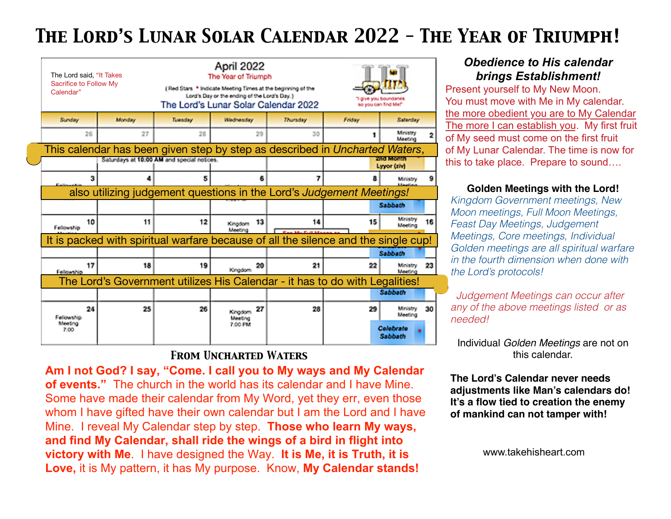## *The Lord's Lunar Solar Calendar 2022 - The Year of Triumph!*

| The Lord said, "It Takes<br>Sacrifice to Follow My<br>Calendar" |                                                                                    |                                            | April 2022<br>The Year of Triumph<br>(Red Stars * Indicate Meeting Times at the beginning of the<br>Lord's Day or the ending of the Lord's Day.)<br>The Lord's Lunar Solar Calendar 2022 | 1 give you boundanes<br>so you can find Mef* |        |                          |    |
|-----------------------------------------------------------------|------------------------------------------------------------------------------------|--------------------------------------------|------------------------------------------------------------------------------------------------------------------------------------------------------------------------------------------|----------------------------------------------|--------|--------------------------|----|
| Sunday                                                          | Monday                                                                             | Tuesday                                    | Wednesday                                                                                                                                                                                | Thursday                                     | Friday | Saterday                 |    |
| 26                                                              | 27                                                                                 | 28                                         | 29                                                                                                                                                                                       | 30                                           |        | Ministry<br>Meeting      |    |
|                                                                 | This calendar has been given step by step as described in Uncharted Waters,        |                                            |                                                                                                                                                                                          |                                              |        |                          |    |
|                                                                 |                                                                                    | Saturdays at 10:00 AM and special notices. |                                                                                                                                                                                          |                                              |        | and Month<br>Lyyor (ziv) |    |
| з                                                               |                                                                                    | 5                                          | 6                                                                                                                                                                                        |                                              |        | Ministry                 |    |
|                                                                 | also utilizing judgement questions in the Lord's Judgement Meetings!               |                                            |                                                                                                                                                                                          |                                              |        |                          |    |
|                                                                 |                                                                                    |                                            |                                                                                                                                                                                          |                                              |        | Sabbath                  |    |
| 10<br>Fellowship                                                | 11                                                                                 | 12                                         | 13<br>Kingdom<br>Meeting                                                                                                                                                                 | 14                                           | 15     | Ministry<br>Meeting      | 16 |
|                                                                 | It is packed with spiritual warfare because of all the silence and the single cup! |                                            |                                                                                                                                                                                          |                                              |        |                          |    |
|                                                                 |                                                                                    |                                            |                                                                                                                                                                                          |                                              |        | Sabbath                  |    |
| 17<br>Fellowship                                                | 18                                                                                 | 19                                         | 20<br>Kingdom                                                                                                                                                                            | 21                                           | 22     | Ministry<br>Meeting      | 23 |
|                                                                 | The Lord's Government utilizes His Calendar - it has to do with Legalities!        |                                            |                                                                                                                                                                                          |                                              |        |                          |    |
|                                                                 |                                                                                    |                                            |                                                                                                                                                                                          |                                              |        | Sabbath                  |    |
| 24<br>Followship                                                | 25                                                                                 | 26                                         | 27<br>Kingdom<br>Meeting                                                                                                                                                                 | 28                                           | 29     | Ministry<br>Monting      | 30 |
| Mosting<br>7:00                                                 |                                                                                    |                                            | 7:00 PM                                                                                                                                                                                  |                                              |        | Colebrate<br>Sabbath     |    |
|                                                                 |                                                                                    |                                            |                                                                                                                                                                                          |                                              |        |                          |    |

## *From Uncharted Waters*

**Am I not God? I say, "Come. I call you to My ways and My Calendar of events."** The church in the world has its calendar and I have Mine. Some have made their calendar from My Word, yet they err, even those whom I have gifted have their own calendar but I am the Lord and I have Mine. I reveal My Calendar step by step. **Those who learn My ways, and find My Calendar, shall ride the wings of a bird in flight into victory with Me**. I have designed the Way. **It is Me, it is Truth, it is Love,** it is My pattern, it has My purpose. Know, **My Calendar stands!**

## *Obedience to His calendar brings Establishment!*

Present yourself to My New Moon. You must move with Me in My calendar. the more obedient you are to My Calendar The more I can establish you. My first fruit of My seed must come on the first fruit of My Lunar Calendar. The time is now for this to take place. Prepare to sound….

## **Golden Meetings with the Lord!**

*Kingdom Government meetings, New Moon meetings, Full Moon Meetings, Feast Day Meetings, Judgement Meetings, Core meetings, Individual Golden meetings are all spiritual warfare in the fourth dimension when done with the Lord's protocols!* 

 *Judgement Meetings can occur after any of the above meetings listed or as needed!*

Individual *Golden Meetings* are not on this calendar.

**The Lord's Calendar never needs adjustments like Man's calendars do! It's a flow tied to creation the enemy of mankind can not tamper with!**

www.takehisheart.com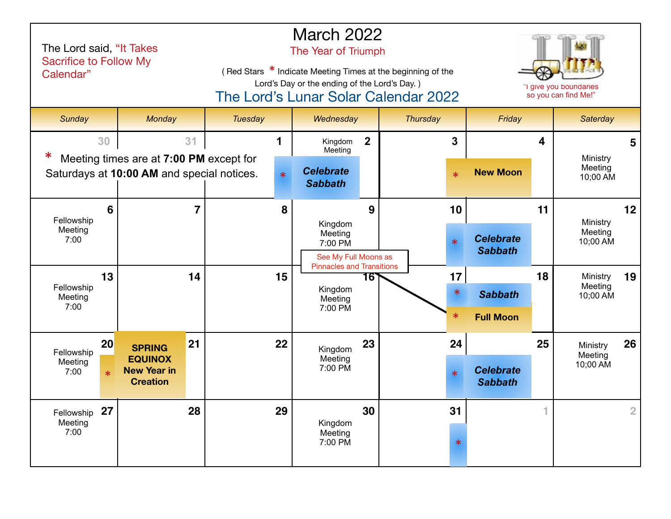| The Lord said, "It Takes<br><b>Sacrifice to Follow My</b><br>Calendar" |                                                                                       |         | <b>March 2022</b><br>The Year of Triumph<br>(Red Stars * Indicate Meeting Times at the beginning of the<br>Lord's Day or the ending of the Lord's Day.)<br>"I give you boundaries<br>The Lord's Lunar Solar Calendar 2022<br>so you can find Me!" |                  |                                    |                                       |  |  |
|------------------------------------------------------------------------|---------------------------------------------------------------------------------------|---------|---------------------------------------------------------------------------------------------------------------------------------------------------------------------------------------------------------------------------------------------------|------------------|------------------------------------|---------------------------------------|--|--|
| Sunday                                                                 | Monday                                                                                | Tuesday | Wednesday                                                                                                                                                                                                                                         | <b>Thursday</b>  | Friday                             | Saterday                              |  |  |
| 30                                                                     | 31                                                                                    |         | $\overline{2}$<br>Kingdom<br>Meeting                                                                                                                                                                                                              | $\overline{3}$   | 4                                  | $5\phantom{1}$                        |  |  |
|                                                                        | Meeting times are at 7:00 PM except for<br>Saturdays at 10:00 AM and special notices. |         | <b>Celebrate</b><br><b>Sabbath</b>                                                                                                                                                                                                                | $\ast$           | <b>New Moon</b>                    | Ministry<br>Meeting<br>10;00 AM       |  |  |
| 6<br>Fellowship                                                        | $\overline{7}$                                                                        | 8       | 9                                                                                                                                                                                                                                                 | 10               | 11                                 | 12<br>Ministry                        |  |  |
| Meeting<br>7:00                                                        |                                                                                       |         | Kingdom<br>Meeting<br>7:00 PM<br>See My Full Moons as<br><b>Pinnacles and Transitions</b>                                                                                                                                                         | $\ast$           | <b>Celebrate</b><br><b>Sabbath</b> | Meeting<br>10;00 AM                   |  |  |
| 13<br>Fellowship                                                       | 14                                                                                    | 15      | 16`<br>Kingdom                                                                                                                                                                                                                                    | 17               | 18                                 | 19<br>Ministry<br>Meeting             |  |  |
| Meeting<br>7:00                                                        |                                                                                       |         | Meeting<br>7:00 PM                                                                                                                                                                                                                                | $\ast$<br>$\ast$ | <b>Sabbath</b><br><b>Full Moon</b> | 10;00 AM                              |  |  |
|                                                                        |                                                                                       |         |                                                                                                                                                                                                                                                   |                  |                                    |                                       |  |  |
| 20<br>Fellowship<br>Meeting                                            | 21<br><b>SPRING</b><br><b>EQUINOX</b>                                                 | 22      | 23<br>Kingdom<br>Meeting                                                                                                                                                                                                                          | 24               | 25                                 | 26<br>Ministry<br>Meeting<br>10;00 AM |  |  |
| 7:00<br>$\ast$                                                         | <b>New Year in</b><br><b>Creation</b>                                                 |         | 7:00 PM                                                                                                                                                                                                                                           | $\ast$           | <b>Celebrate</b><br><b>Sabbath</b> |                                       |  |  |
| 27<br>Fellowship<br>Meeting                                            | 28                                                                                    | 29      | 30<br>Kingdom                                                                                                                                                                                                                                     | 31               |                                    | $\overline{2}$                        |  |  |
| 7:00                                                                   |                                                                                       |         | Meeting<br>7:00 PM                                                                                                                                                                                                                                | $\ast$           |                                    |                                       |  |  |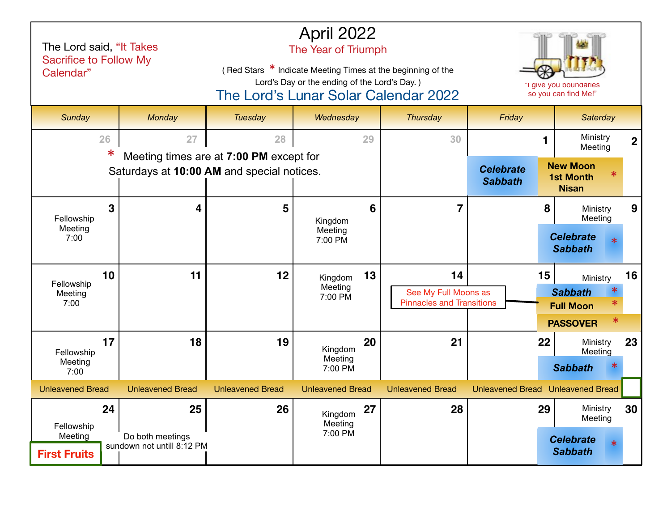| The Lord said, "It Takes<br><b>Sacrifice to Follow My</b><br>Calendar" |                                                      |                                         | April 2022<br>The Year of Triumph<br>(Red Stars * Indicate Meeting Times at the beginning of the<br>Lord's Day or the ending of the Lord's Day.)<br>The Lord's Lunar Solar Calendar 2022 | "I give you boundaries<br>so you can find Me!"                 |                                    |                                                                 |
|------------------------------------------------------------------------|------------------------------------------------------|-----------------------------------------|------------------------------------------------------------------------------------------------------------------------------------------------------------------------------------------|----------------------------------------------------------------|------------------------------------|-----------------------------------------------------------------|
| Sunday                                                                 | Monday                                               | Tuesday                                 | Wednesday                                                                                                                                                                                | Thursday                                                       | Friday                             | Saterday                                                        |
| 26<br>$\ast$                                                           | 27                                                   | 28                                      | 29                                                                                                                                                                                       | 30                                                             |                                    | Ministry<br>$\overline{2}$<br>Meeting                           |
|                                                                        | Saturdays at 10:00 AM and special notices.           | Meeting times are at 7:00 PM except for |                                                                                                                                                                                          |                                                                | <b>Celebrate</b><br><b>Sabbath</b> | <b>New Moon</b><br><b>1st Month</b><br><b>Nisan</b>             |
| 3<br>Fellowship                                                        | 4                                                    | 5                                       | 6<br>Kingdom                                                                                                                                                                             | 7                                                              |                                    | 8<br>9<br>Ministry<br>Meeting                                   |
| Meeting<br>7:00                                                        |                                                      |                                         | Meeting<br>7:00 PM                                                                                                                                                                       |                                                                |                                    | <b>Celebrate</b><br><b>Sabbath</b>                              |
| 10<br>Fellowship<br>Meeting<br>7:00                                    | 11                                                   | 12                                      | 13<br>Kingdom<br>Meeting<br>7:00 PM                                                                                                                                                      | 14<br>See My Full Moons as<br><b>Pinnacles and Transitions</b> | 15                                 | 16<br>Ministry<br><b>Sabbath</b><br><b>Full Moon</b>            |
|                                                                        |                                                      |                                         |                                                                                                                                                                                          |                                                                |                                    | ∗<br><b>PASSOVER</b>                                            |
| 17<br>Fellowship<br>Meeting<br>7:00                                    | 18                                                   | 19                                      | 20<br>Kingdom<br>Meeting<br>7:00 PM                                                                                                                                                      | 21                                                             | 22                                 | 23<br>Ministry<br>Meeting<br><b>Sabbath</b>                     |
| <b>Unleavened Bread</b>                                                | <b>Unleavened Bread</b>                              | <b>Unleavened Bread</b>                 | <b>Unleavened Bread</b>                                                                                                                                                                  | <b>Unleavened Bread</b>                                        |                                    | Unleavened Bread Unleavened Bread                               |
| 24<br>Fellowship<br>Meeting<br><b>First Fruits</b>                     | 25<br>Do both meetings<br>sundown not untill 8:12 PM | 26                                      | 27<br>Kingdom<br>Meeting<br>7:00 PM                                                                                                                                                      | 28                                                             | 29                                 | Ministry<br>30<br>Meeting<br><b>Celebrate</b><br><b>Sabbath</b> |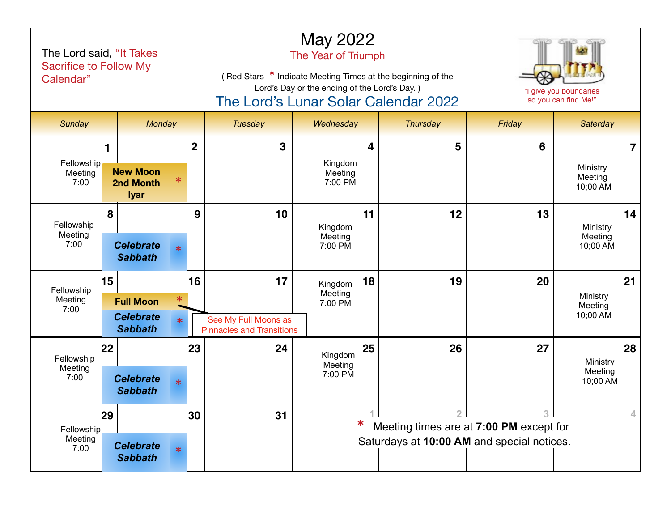| The Lord said, "It Takes<br><b>Sacrifice to Follow My</b><br>Calendar" |                                                       |                |                                                          | May 2022<br>The Year of Triumph<br>(Red Stars * Indicate Meeting Times at the beginning of the<br>Lord's Day or the ending of the Lord's Day.)<br>"I give you boundaries<br>The Lord's Lunar Solar Calendar 2022<br>so you can find Me!" |                                                           |                |                                 |  |  |
|------------------------------------------------------------------------|-------------------------------------------------------|----------------|----------------------------------------------------------|------------------------------------------------------------------------------------------------------------------------------------------------------------------------------------------------------------------------------------------|-----------------------------------------------------------|----------------|---------------------------------|--|--|
| Sunday                                                                 | Monday                                                |                | <b>Tuesday</b>                                           | Wednesday                                                                                                                                                                                                                                | <b>Thursday</b>                                           | Friday         | Saterday                        |  |  |
|                                                                        |                                                       | $\overline{2}$ | 3                                                        | 4                                                                                                                                                                                                                                        | 5                                                         | 6              | $\overline{7}$                  |  |  |
| Fellowship<br>Meeting<br>7:00                                          | <b>New Moon</b><br>$\ast$<br>2nd Month<br><b>Iyar</b> |                |                                                          | Kingdom<br>Meeting<br>7:00 PM                                                                                                                                                                                                            |                                                           |                | Ministry<br>Meeting<br>10;00 AM |  |  |
| 8<br>Fellowship                                                        |                                                       | 9              | 10                                                       | 11<br>Kingdom                                                                                                                                                                                                                            | 12                                                        | 13             | 14<br>Ministry                  |  |  |
| Meeting<br>7:00                                                        | <b>Celebrate</b><br><b>Sabbath</b>                    | $\ast$         |                                                          | Meeting<br>7:00 PM                                                                                                                                                                                                                       |                                                           |                | Meeting<br>10;00 AM             |  |  |
| 15<br>Fellowship                                                       |                                                       | 16             | 17                                                       | 18<br>Kingdom<br>Meeting                                                                                                                                                                                                                 | 19                                                        | 20             | 21                              |  |  |
| Meeting<br>7:00                                                        | <b>Full Moon</b>                                      | $\ast$         |                                                          | 7:00 PM                                                                                                                                                                                                                                  |                                                           |                | Ministry<br>Meeting<br>10;00 AM |  |  |
|                                                                        | <b>Celebrate</b><br><b>Sabbath</b>                    | $\ast$         | See My Full Moons as<br><b>Pinnacles and Transitions</b> |                                                                                                                                                                                                                                          |                                                           |                |                                 |  |  |
| 22<br>Fellowship                                                       |                                                       | 23             | 24                                                       | 25<br>Kingdom<br>Meeting                                                                                                                                                                                                                 | 26                                                        | 27             | 28<br>Ministry                  |  |  |
| Meeting<br>7:00                                                        | <b>Celebrate</b><br><b>Sabbath</b>                    | $\ast$         |                                                          | 7:00 PM                                                                                                                                                                                                                                  |                                                           |                | Meeting<br>10;00 AM             |  |  |
| 29                                                                     |                                                       | 30             | 31                                                       | $\perp$<br>∗                                                                                                                                                                                                                             | 2 <sup>1</sup><br>Meeting times are at 7:00 PM except for | 3 <sup>1</sup> | 4                               |  |  |
| Fellowship<br>Meeting<br>7:00                                          | <b>Celebrate</b><br><b>Sabbath</b>                    | $\ast$         |                                                          |                                                                                                                                                                                                                                          | Saturdays at 10:00 AM and special notices.                |                |                                 |  |  |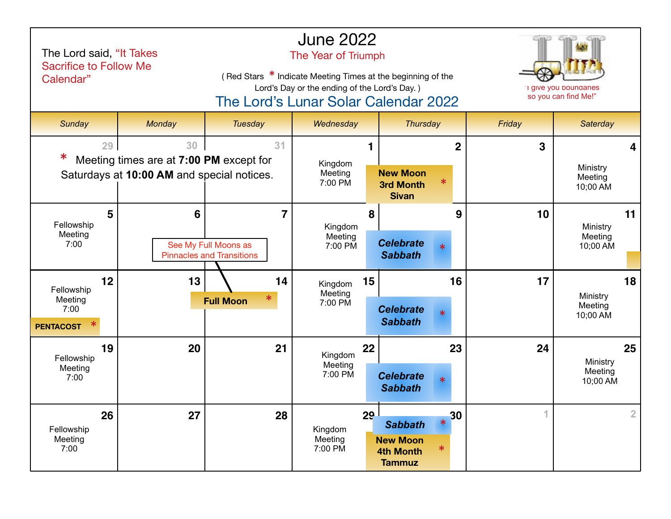| The Lord said, "It Takes<br><b>Sacrifice to Follow Me</b><br>Calendar" |                                                                                             |                                                               | <b>June 2022</b><br>The Year of Triumph<br>(Red Stars * Indicate Meeting Times at the beginning of the<br>Lord's Day or the ending of the Lord's Day.)<br>The Lord's Lunar Solar Calendar 2022 | "I give you boundaries<br>so you can find Me!"                                                   |        |                                       |
|------------------------------------------------------------------------|---------------------------------------------------------------------------------------------|---------------------------------------------------------------|------------------------------------------------------------------------------------------------------------------------------------------------------------------------------------------------|--------------------------------------------------------------------------------------------------|--------|---------------------------------------|
| Sunday                                                                 | Monday                                                                                      | <b>Tuesday</b>                                                | Wednesday                                                                                                                                                                                      | <b>Thursday</b>                                                                                  | Friday | <b>Saterday</b>                       |
| 29<br>∗                                                                | 30<br>Meeting times are at 7:00 PM except for<br>Saturdays at 10:00 AM and special notices. | 31                                                            | Kingdom<br>Meeting<br>7:00 PM                                                                                                                                                                  | $\overline{2}$<br><b>New Moon</b><br>∗<br><b>3rd Month</b><br><b>Sivan</b>                       | 3      | Ministry<br>Meeting<br>10;00 AM       |
| 5<br>Fellowship<br>Meeting<br>7:00                                     | 6                                                                                           | 7<br>See My Full Moons as<br><b>Pinnacles and Transitions</b> | 8<br>Kingdom<br>Meeting<br>7:00 PM                                                                                                                                                             | 9<br><b>Celebrate</b><br>ж<br><b>Sabbath</b>                                                     | 10     | 11<br>Ministry<br>Meeting<br>10;00 AM |
| 12<br>Fellowship<br>Meeting<br>7:00<br><b>PENTACOST</b>                | 13                                                                                          | 14<br><b>Full Moon</b>                                        | 15<br>Kingdom<br>Meeting<br>7:00 PM                                                                                                                                                            | 16<br><b>Celebrate</b><br>$\ast$<br><b>Sabbath</b>                                               | 17     | 18<br>Ministry<br>Meeting<br>10;00 AM |
| 19<br>Fellowship<br>Meeting<br>7:00                                    | 20                                                                                          | 21                                                            | 22<br>Kingdom<br>Meeting<br>7:00 PM                                                                                                                                                            | 23<br><b>Celebrate</b><br>$\ast$<br><b>Sabbath</b>                                               | 24     | 25<br>Ministry<br>Meeting<br>10;00 AM |
| 26<br>Fellowship<br>Meeting<br>7:00                                    | 27                                                                                          | 28                                                            | 29 <sup>1</sup><br>Kingdom<br>Meeting<br>7:00 PM                                                                                                                                               | 30<br>$\ast$<br><b>Sabbath</b><br><b>New Moon</b><br>$\ast$<br><b>4th Month</b><br><b>Tammuz</b> | 4      | $\overline{2}$                        |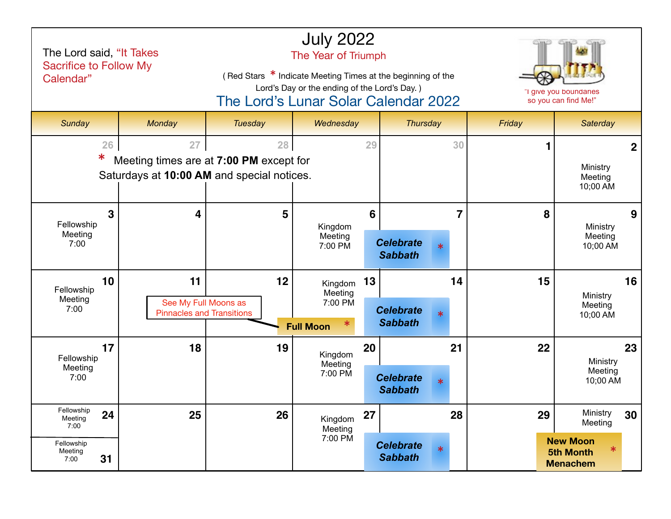| The Lord said, "It Takes<br>Sacrifice to Follow My<br>Calendar"            |                                                                                             | The Year of Triumph<br>(Red Stars * Indicate Meeting Times at the beginning of the<br>Lord's Day or the ending of the Lord's Day.)<br>The Lord's Lunar Solar Calendar 2022 |                                                   | "I give you boundaries<br>so you can find Me!" |                                              |                |                                 |                                                                               |    |
|----------------------------------------------------------------------------|---------------------------------------------------------------------------------------------|----------------------------------------------------------------------------------------------------------------------------------------------------------------------------|---------------------------------------------------|------------------------------------------------|----------------------------------------------|----------------|---------------------------------|-------------------------------------------------------------------------------|----|
| Sunday                                                                     | Monday                                                                                      | Tuesday                                                                                                                                                                    | Wednesday                                         |                                                | <b>Thursday</b>                              |                | Friday                          | <b>Saterday</b>                                                               |    |
| 26<br>∗                                                                    | 28<br>Meeting times are at 7:00 PM except for<br>Saturdays at 10:00 AM and special notices. |                                                                                                                                                                            | 29                                                |                                                | 30                                           |                | Ministry<br>Meeting<br>10;00 AM | $\mathbf{2}$                                                                  |    |
| $\mathbf{3}$<br>Fellowship<br>Meeting<br>7:00                              | 4                                                                                           | 5                                                                                                                                                                          | Kingdom<br>Meeting<br>7:00 PM                     | 6                                              | <b>Celebrate</b><br>$\ast$<br><b>Sabbath</b> | $\overline{7}$ | 8                               | Ministry<br>Meeting<br>10;00 AM                                               | 9  |
| 10<br>Fellowship<br>Meeting<br>7:00                                        | 11<br>See My Full Moons as<br><b>Pinnacles and Transitions</b>                              | 12                                                                                                                                                                         | Kingdom<br>Meeting<br>7:00 PM<br><b>Full Moon</b> | 13                                             | <b>Celebrate</b><br><b>Sabbath</b>           | 14             | 15                              | Ministry<br>Meeting<br>10;00 AM                                               | 16 |
| 17<br>Fellowship<br>Meeting<br>7:00                                        | 18                                                                                          | 19                                                                                                                                                                         | Kingdom<br>Meeting<br>7:00 PM                     | 20                                             | <b>Celebrate</b><br>$\ast$<br><b>Sabbath</b> | 21             | 22                              | Ministry<br>Meeting<br>10;00 AM                                               | 23 |
| Fellowship<br>24<br>Meeting<br>7:00<br>Fellowship<br>Meeting<br>31<br>7:00 | 25                                                                                          | 26                                                                                                                                                                         | Kingdom<br>Meeting<br>7:00 PM                     | 27                                             | <b>Celebrate</b><br>$\ast$<br><b>Sabbath</b> | 28             | 29                              | Ministry<br>Meeting<br><b>New Moon</b><br><b>5th Month</b><br><b>Menachem</b> | 30 |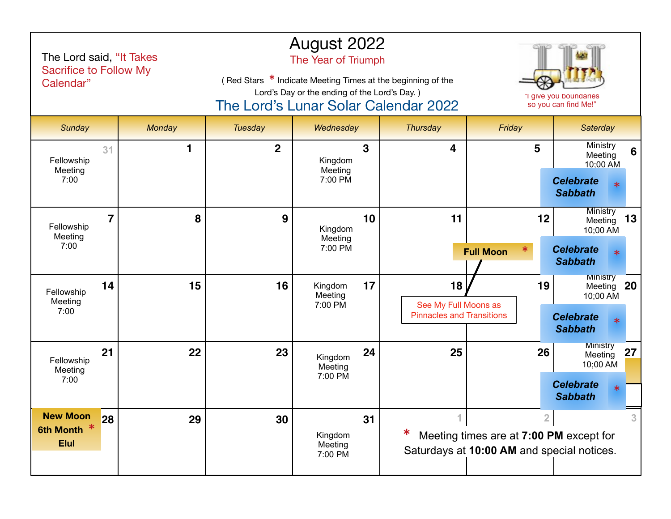| The Lord said, "It Takes<br><b>Sacrifice to Follow My</b><br>Calendar" |        | The Lord's Lunar Solar Calendar 2022 | August 2022<br>The Year of Triumph<br>(Red Stars * Indicate Meeting Times at the beginning of the<br>Lord's Day or the ending of the Lord's Day.) |    | "I give you boundaries<br>so you can find Me!"                 |                                                                                                         |                                                                                              |
|------------------------------------------------------------------------|--------|--------------------------------------|---------------------------------------------------------------------------------------------------------------------------------------------------|----|----------------------------------------------------------------|---------------------------------------------------------------------------------------------------------|----------------------------------------------------------------------------------------------|
| Sunday                                                                 | Monday | Tuesday                              | Wednesday                                                                                                                                         |    | <b>Thursday</b>                                                | Friday                                                                                                  | <b>Saterday</b>                                                                              |
| 31<br>Fellowship<br>Meeting<br>7:00                                    | 1      | $\mathbf 2$                          | Kingdom<br>Meeting<br>7:00 PM                                                                                                                     | 3  | 4                                                              | 5                                                                                                       | Ministry<br>6<br>Meeting<br>10;00 AM<br><b>Celebrate</b><br><b>Sabbath</b>                   |
| $\overline{7}$<br>Fellowship<br>Meeting<br>7:00                        | 8      | 9                                    | Kingdom<br>Meeting<br>7:00 PM                                                                                                                     | 10 | 11                                                             | 12<br><b>Full Moon</b>                                                                                  | Ministry<br>13<br>Meeting<br>10;00 AM<br><b>Celebrate</b><br><b>Sabbath</b>                  |
| 14<br>Fellowship<br>Meeting<br>7:00                                    | 15     | 16                                   | Kingdom<br>Meeting<br>7:00 PM                                                                                                                     | 17 | 18<br>See My Full Moons as<br><b>Pinnacles and Transitions</b> | 19                                                                                                      | <b>MINISTry</b><br>20<br>Meeting<br>10;00 AM<br><b>Celebrate</b><br>$\ast$<br><b>Sabbath</b> |
| 21<br>Fellowship<br>Meeting<br>7:00                                    | 22     | 23                                   | Kingdom<br>Meeting<br>7:00 PM                                                                                                                     | 24 | 25                                                             | 26                                                                                                      | <b>Ministry</b><br>27<br>Meeting<br>10;00 AM<br><b>Celebrate</b><br><b>Sabbath</b>           |
| <b>New Moon</b><br>28<br>6th Month *<br><b>Elul</b>                    | 29     | 30                                   | Kingdom<br>Meeting<br>7:00 PM                                                                                                                     | 31 | 1                                                              | $\overline{2}$<br>Meeting times are at 7:00 PM except for<br>Saturdays at 10:00 AM and special notices. |                                                                                              |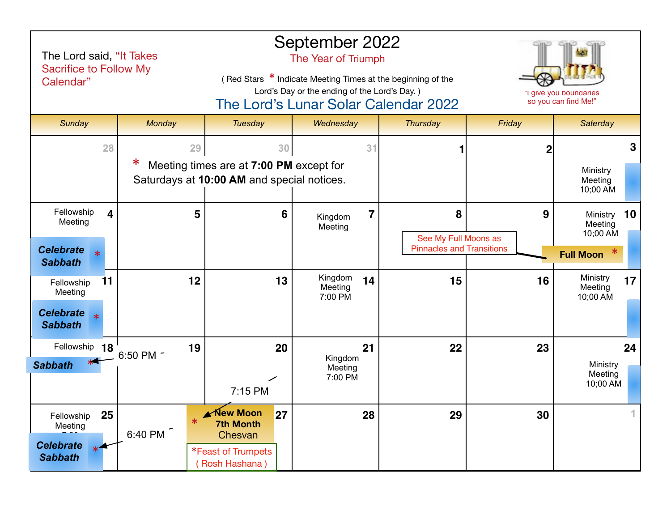| The Lord said, "It Takes<br><b>Sacrifice to Follow My</b><br>Calendar"                 |                 | September 2022<br>The Year of Triumph<br>(Red Stars * Indicate Meeting Times at the beginning of the<br>Lord's Day or the ending of the Lord's Day.)<br>The Lord's Lunar Solar Calendar 2022 |                                      | "I give you boundaries<br>so you can find Me!"                |        |                                                           |
|----------------------------------------------------------------------------------------|-----------------|----------------------------------------------------------------------------------------------------------------------------------------------------------------------------------------------|--------------------------------------|---------------------------------------------------------------|--------|-----------------------------------------------------------|
| <b>Sunday</b>                                                                          | Monday          | <b>Tuesday</b>                                                                                                                                                                               | Wednesday                            | <b>Thursday</b>                                               | Friday | Saterday                                                  |
| 28                                                                                     | 29<br>ж         | 30<br>Meeting times are at 7:00 PM except for<br>Saturdays at 10:00 AM and special notices.                                                                                                  | 31                                   |                                                               | 2      | 3<br>Ministry<br>Meeting<br>10;00 AM                      |
| Fellowship<br>$\overline{\mathbf{4}}$<br>Meeting<br><b>Celebrate</b><br><b>Sabbath</b> | 5               | 6                                                                                                                                                                                            | $\overline{7}$<br>Kingdom<br>Meeting | 8<br>See My Full Moons as<br><b>Pinnacles and Transitions</b> | 9      | 10<br>Ministry<br>Meeting<br>10;00 AM<br><b>Full Moon</b> |
| 11<br>Fellowship<br>Meeting<br><b>Celebrate</b><br><b>Sabbath</b>                      | 12              | 13                                                                                                                                                                                           | Kingdom<br>14<br>Meeting<br>7:00 PM  | 15                                                            | 16     | Ministry<br>17<br>Meeting<br>10;00 AM                     |
| Fellowship 18<br><b>Sabbath</b>                                                        | 19<br>6:50 PM - | 20<br>7:15 PM                                                                                                                                                                                | 21<br>Kingdom<br>Meeting<br>7:00 PM  | 22                                                            | 23     | 24<br>Ministry<br>Meeting<br>10;00 AM                     |
| 25<br>Fellowship<br>Meeting<br><b>Celebrate</b><br><b>Sabbath</b>                      | 6:40 PM         | <b>∡New Moon</b><br>27<br><b>7th Month</b><br>Chesvan<br>*Feast of Trumpets<br>(Rosh Hashana)                                                                                                | 28                                   | 29                                                            | 30     |                                                           |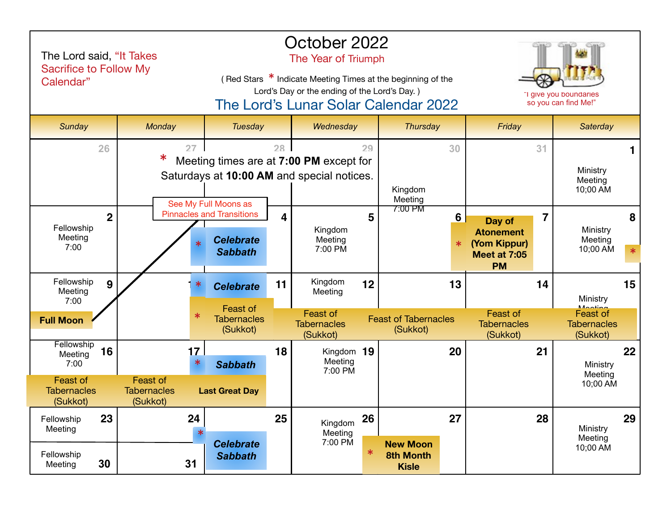| The Lord said, "It Takes<br><b>Sacrifice to Follow My</b><br>Calendar"            |                                                                   |                                                                                                                     | October 2022<br>The Year of Triumph<br>(Red Stars * Indicate Meeting Times at the beginning of the<br>Lord's Day or the ending of the Lord's Day.)<br>The Lord's Lunar Solar Calendar 2022 |                                                                         |                    |                                                     |        | "I give you boundaries<br>so you can find Me!"                                 |                                 |                                                                                 |    |
|-----------------------------------------------------------------------------------|-------------------------------------------------------------------|---------------------------------------------------------------------------------------------------------------------|--------------------------------------------------------------------------------------------------------------------------------------------------------------------------------------------|-------------------------------------------------------------------------|--------------------|-----------------------------------------------------|--------|--------------------------------------------------------------------------------|---------------------------------|---------------------------------------------------------------------------------|----|
| Sunday                                                                            | Monday                                                            | <b>Tuesday</b>                                                                                                      |                                                                                                                                                                                            | Wednesday<br><b>Thursday</b>                                            |                    |                                                     | Friday |                                                                                | Saterday                        |                                                                                 |    |
| 26                                                                                | 27<br>∗                                                           | 28<br>Meeting times are at 7:00 PM except for<br>Saturdays at 10:00 AM and special notices.<br>See My Full Moons as |                                                                                                                                                                                            | 29                                                                      | Kingdom<br>Meeting | 30                                                  |        | 31                                                                             | Ministry<br>Meeting<br>10;00 AM | 1                                                                               |    |
| $\overline{2}$<br>Fellowship<br>Meeting<br>7:00                                   |                                                                   | <b>Pinnacles and Transitions</b><br><b>Celebrate</b><br><b>Sabbath</b>                                              | 4                                                                                                                                                                                          | Kingdom<br>Meeting<br>7:00 PM                                           | 5                  | 7:00 PM                                             | 6<br>∗ | Day of<br><b>Atonement</b><br>(Yom Kippur)<br><b>Meet at 7:05</b><br><b>PM</b> | 7                               | Ministry<br>Meeting<br>10:00 AM                                                 | 8  |
| Fellowship<br>9<br>Meeting<br>7:00<br><b>Full Moon</b>                            |                                                                   | <b>Celebrate</b><br>Feast of<br><b>Tabernacles</b><br>(Sukkot)                                                      | 11                                                                                                                                                                                         | Kingdom<br>Meeting<br><b>Feast of</b><br><b>Tabernacles</b><br>(Sukkot) | 12                 | <b>Feast of Tabernacles</b><br>(Sukkot)             | 13     | <b>Feast of</b><br><b>Tabernacles</b><br>(Sukkot)                              | 14                              | Ministry<br><i>Mooting</i><br><b>Feast of</b><br><b>Tabernacles</b><br>(Sukkot) | 15 |
| Fellowship<br>16<br>Meeting<br>7:00<br>Feast of<br><b>Tabernacles</b><br>(Sukkot) | 17<br>$\ast$<br><b>Feast of</b><br><b>Tabernacles</b><br>(Sukkot) | <b>Sabbath</b><br><b>Last Great Day</b>                                                                             | 18                                                                                                                                                                                         | Kingdom 19<br>Meeting<br>7:00 PM                                        |                    |                                                     | 20     |                                                                                | 21                              | Ministry<br>Meeting<br>10;00 AM                                                 | 22 |
| 23<br>Fellowship<br>Meeting<br>Fellowship<br>30<br>Meeting                        | 24<br>31                                                          | <b>Celebrate</b><br><b>Sabbath</b>                                                                                  | 25                                                                                                                                                                                         | Kingdom<br>Meeting<br>7:00 PM                                           | 26<br>$\ast$       | <b>New Moon</b><br><b>8th Month</b><br><b>Kisle</b> | 27     |                                                                                | 28                              | Ministry<br>Meeting<br>10;00 AM                                                 | 29 |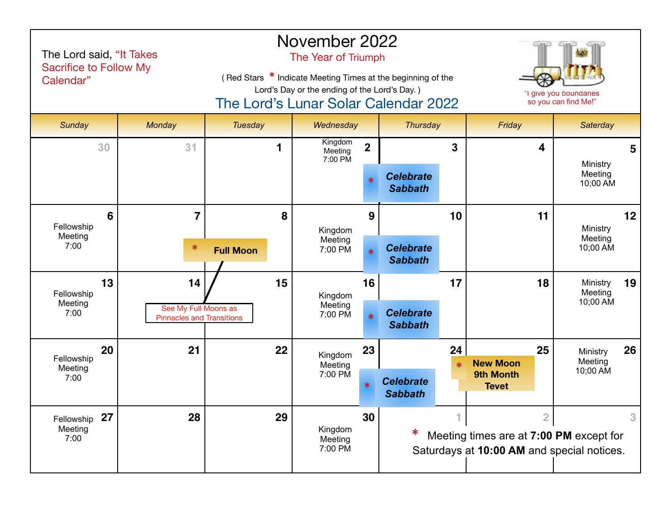| The Lord said, "It Takes<br>Sacrifice to Follow My<br>Calendar" |                | (Red Stars * Indicate Meeting Times at the beginning of the<br>The Lord's Lunar Solar Calendar 2022 | November 2022<br>The Year of Triumph<br>Lord's Day or the ending of the Lord's Day.) | "I give you boundaries<br>so you can find Me!" |                                    |              |                                                                                       |                     |                 |
|-----------------------------------------------------------------|----------------|-----------------------------------------------------------------------------------------------------|--------------------------------------------------------------------------------------|------------------------------------------------|------------------------------------|--------------|---------------------------------------------------------------------------------------|---------------------|-----------------|
| Sunday                                                          | Monday         | <b>Tuesday</b>                                                                                      | Wednesday                                                                            |                                                | <b>Thursday</b>                    |              | Friday                                                                                | <b>Saterday</b>     |                 |
| 30                                                              | 31             | 1                                                                                                   | Kingdom<br>Meeting<br>7:00 PM                                                        | $\overline{\mathbf{2}}$                        |                                    | 3            | 4                                                                                     | Ministry            | 5               |
|                                                                 |                |                                                                                                     |                                                                                      |                                                | <b>Celebrate</b><br><b>Sabbath</b> |              |                                                                                       | Meeting<br>10;00 AM |                 |
| 6<br>Fellowship                                                 | $\overline{7}$ | 8                                                                                                   | Kingdom                                                                              | 9                                              |                                    | 10           | 11                                                                                    | Ministry            | 12 <sup>2</sup> |
| Meeting<br>7:00                                                 | $\ast$         | <b>Full Moon</b>                                                                                    | Meeting<br>7:00 PM                                                                   | $\ast$                                         | <b>Celebrate</b><br><b>Sabbath</b> |              | Meeting<br>10;00 AM                                                                   |                     |                 |
| 13<br>Fellowship                                                | 14             | 15                                                                                                  | Kingdom                                                                              | 16                                             |                                    | 17           | 18                                                                                    | Ministry<br>Meeting | 19              |
| Meeting<br>7:00                                                 |                | See My Full Moons as<br><b>Pinnacles and Transitions</b>                                            | Meeting<br>7:00 PM                                                                   | $\ast$                                         | <b>Celebrate</b><br><b>Sabbath</b> |              |                                                                                       | 10;00 AM            |                 |
| 20<br>Fellowship                                                | 21             | 22                                                                                                  | Kingdom<br>Meeting                                                                   | 23                                             |                                    | 24<br>$\ast$ | 25<br><b>New Moon</b>                                                                 | Ministry<br>Meeting | 26              |
| Meeting<br>7:00                                                 |                |                                                                                                     | 7:00 PM                                                                              | $\ast$                                         | <b>Celebrate</b><br><b>Sabbath</b> |              | 9th Month<br><b>Tevet</b>                                                             | 10;00 AM            |                 |
| 27<br>Fellowship                                                | 28             | 29                                                                                                  |                                                                                      | 30                                             |                                    |              | $\overline{2}$                                                                        |                     | 3               |
| Meeting<br>7:00                                                 |                |                                                                                                     | Kingdom<br>Meeting<br>7:00 PM                                                        |                                                |                                    |              | Meeting times are at 7:00 PM except for<br>Saturdays at 10:00 AM and special notices. |                     |                 |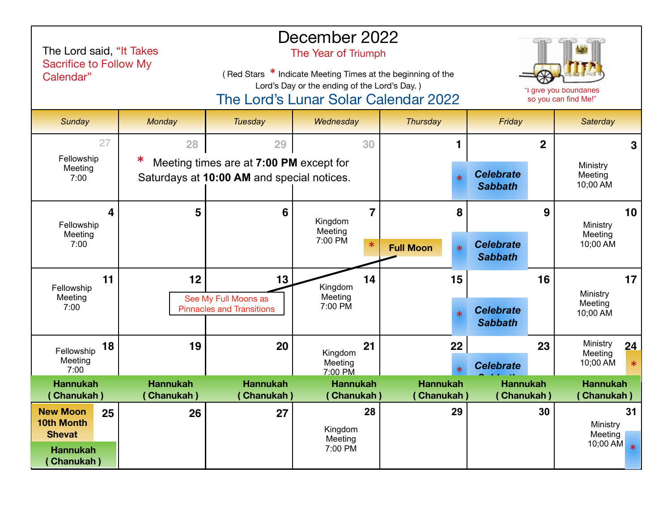| The Lord said, "It Takes<br>Sacrifice to Follow My<br>Calendar"                                     |                                      | December 2022<br>The Year of Triumph<br>(Red Stars * Indicate Meeting Times at the beginning of the<br>Lord's Day or the ending of the Lord's Day.)<br>The Lord's Lunar Solar Calendar 2022 |                                     | "I give you boundaries<br>so you can find Me!" |                                      |                                           |
|-----------------------------------------------------------------------------------------------------|--------------------------------------|---------------------------------------------------------------------------------------------------------------------------------------------------------------------------------------------|-------------------------------------|------------------------------------------------|--------------------------------------|-------------------------------------------|
| Sunday                                                                                              | Monday                               | Tuesday                                                                                                                                                                                     | Wednesday                           | Thursday                                       | Friday                               | <b>Saterday</b>                           |
| 27                                                                                                  | 28                                   | 29                                                                                                                                                                                          | 30                                  |                                                | $\overline{2}$                       | 3                                         |
| Fellowship<br>Meeting<br>7:00                                                                       |                                      | Meeting times are at 7:00 PM except for<br>Saturdays at 10:00 AM and special notices.                                                                                                       |                                     | $\ast$                                         | <b>Celebrate</b><br><b>Sabbath</b>   | Ministry<br>Meeting<br>10;00 AM           |
| 4<br>Fellowship                                                                                     | 5                                    | 6                                                                                                                                                                                           | 7<br>Kingdom                        | 8                                              | 9                                    | 10<br>Ministry                            |
| Meeting<br>7:00                                                                                     |                                      |                                                                                                                                                                                             | Meeting<br>7:00 PM<br>$\ast$        | $\ast$<br><b>Full Moon</b>                     | <b>Celebrate</b><br><b>Sabbath</b>   | Meeting<br>10;00 AM                       |
| 11<br>Fellowship                                                                                    | 12                                   | 13                                                                                                                                                                                          | 14<br>Kingdom                       | 15                                             | 16                                   | 17 <br>Ministry                           |
| Meeting<br>7:00                                                                                     |                                      | See My Full Moons as<br><b>Pinnacles and Transitions</b>                                                                                                                                    | Meeting<br>7:00 PM                  | $\ast$                                         | <b>Celebrate</b><br><b>Sabbath</b>   | Meeting<br>10;00 AM                       |
| 18<br>Fellowship                                                                                    | 19                                   | 20                                                                                                                                                                                          | 21<br>Kingdom                       | 22                                             | 23                                   | Ministry<br>24<br>Meeting                 |
| Meeting<br>7:00                                                                                     |                                      |                                                                                                                                                                                             | Meeting<br>7:00 PM                  |                                                | <b>Celebrate</b>                     | 10;00 AM<br>$\ast$                        |
| <b>Hannukah</b><br><b>Chanukah</b> )                                                                | <b>Hannukah</b><br><b>Chanukah</b> ) | <b>Hannukah</b><br>Chanukah)                                                                                                                                                                | <b>Hannukah</b><br>(Chanukah)       | <b>Hannukah</b><br><b>Chanukah</b> )           | <b>Hannukah</b><br><b>Chanukah</b> ) | <b>Hannukah</b><br><b>Chanukah</b> )      |
| <b>New Moon</b><br>25<br><b>10th Month</b><br><b>Shevat</b><br><b>Hannukah</b><br><b>Chanukah</b> ) | 26                                   | 27                                                                                                                                                                                          | 28<br>Kingdom<br>Meeting<br>7:00 PM | 29                                             | 30                                   | 31<br>Ministry<br>Meeting<br>10;00 AM $*$ |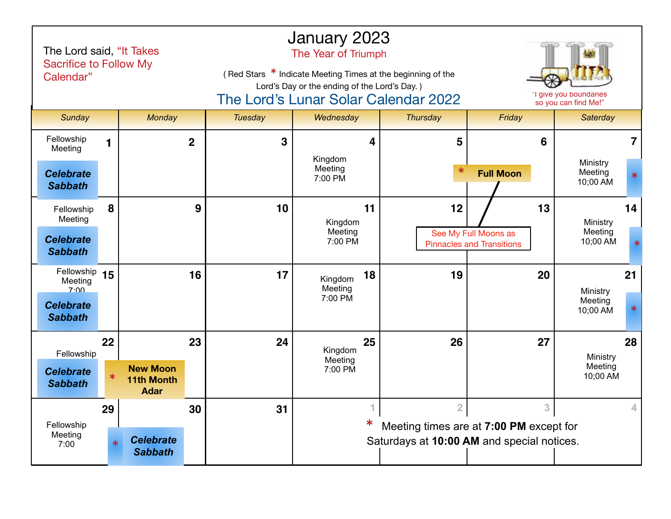| The Lord said, "It Takes<br>Sacrifice to Follow My<br>Calendar" |        |                                                     |             | January 2023<br>The Year of Triumph<br>(Red Stars * Indicate Meeting Times at the beginning of the<br>Lord's Day or the ending of the Lord's Day.)<br>"I give you boundaries<br>The Lord's Lunar Solar Calendar 2022<br>so you can find Me!" |                    |    |                                                                                       |                                                          |                                 |                |  |
|-----------------------------------------------------------------|--------|-----------------------------------------------------|-------------|----------------------------------------------------------------------------------------------------------------------------------------------------------------------------------------------------------------------------------------------|--------------------|----|---------------------------------------------------------------------------------------|----------------------------------------------------------|---------------------------------|----------------|--|
| Sunday                                                          |        | Monday                                              |             | <b>Tuesday</b>                                                                                                                                                                                                                               | Wednesday          |    | <b>Thursday</b>                                                                       | Friday                                                   | Saterday                        |                |  |
| Fellowship<br>Meeting                                           |        |                                                     | $\mathbf 2$ | 3                                                                                                                                                                                                                                            | Kingdom            | 4  | 5                                                                                     | 6                                                        |                                 | $\overline{7}$ |  |
| <b>Celebrate</b><br><b>Sabbath</b>                              |        |                                                     |             |                                                                                                                                                                                                                                              | Meeting<br>7:00 PM |    | $\ast$                                                                                | <b>Full Moon</b>                                         | Ministry<br>Meeting<br>10;00 AM |                |  |
| Fellowship<br>Meeting                                           | 8      |                                                     | 9           | 10                                                                                                                                                                                                                                           | Kingdom            | 11 | 12                                                                                    | 13                                                       | Ministry                        | 14             |  |
| <b>Celebrate</b><br><b>Sabbath</b>                              |        |                                                     |             | Meeting<br>7:00 PM                                                                                                                                                                                                                           |                    |    |                                                                                       | See My Full Moons as<br><b>Pinnacles and Transitions</b> | Meeting<br>10;00 AM             | $\ast$         |  |
| Fellowship 15<br>Meeting<br>7.00                                |        |                                                     | 16          | 17                                                                                                                                                                                                                                           | Kingdom<br>Meeting | 18 | 19                                                                                    | 20                                                       | Ministry                        | 21             |  |
| <b>Celebrate</b><br><b>Sabbath</b>                              |        |                                                     |             |                                                                                                                                                                                                                                              | 7:00 PM            |    |                                                                                       |                                                          | Meeting<br>10;00 AM             | ∗              |  |
| Fellowship                                                      | 22     |                                                     | 23          | 24                                                                                                                                                                                                                                           | Kingdom            | 25 | 26                                                                                    | 27                                                       | Ministry                        | 28             |  |
| <b>Celebrate</b><br><b>Sabbath</b>                              | $\ast$ | <b>New Moon</b><br><b>11th Month</b><br><b>Adar</b> |             |                                                                                                                                                                                                                                              | Meeting<br>7:00 PM |    |                                                                                       |                                                          | Meeting<br>10;00 AM             |                |  |
|                                                                 | 29     |                                                     | 30          | 31                                                                                                                                                                                                                                           |                    | 1  | $\overline{2}$                                                                        | 3                                                        |                                 | 4              |  |
| Fellowship<br>Meeting<br>7:00                                   | $\ast$ | <b>Celebrate</b><br><b>Sabbath</b>                  |             |                                                                                                                                                                                                                                              |                    |    | Meeting times are at 7:00 PM except for<br>Saturdays at 10:00 AM and special notices. |                                                          |                                 |                |  |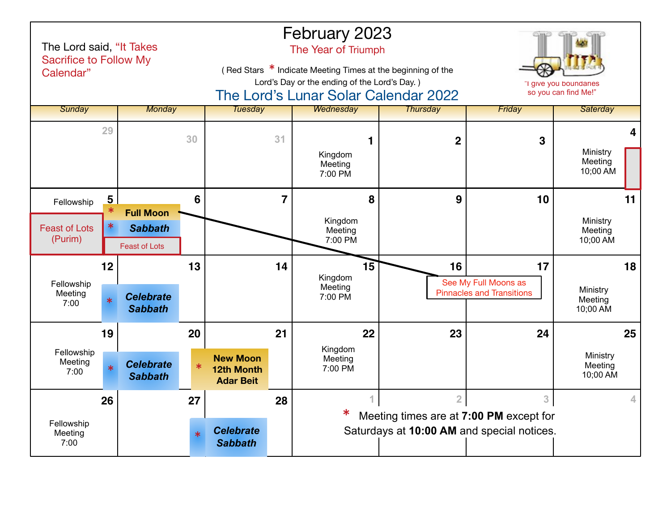